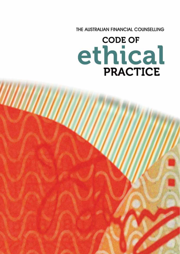THE AUSTRALIAN FINANCIAL COUNSELLING

# **CODE OF** ethical PRACTICE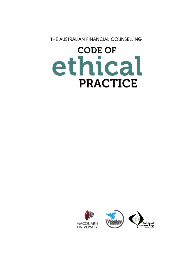THE AUSTRALIAN FINANCIAL COUNSELLING

# **CODE OF** ethical **PRACTICE**

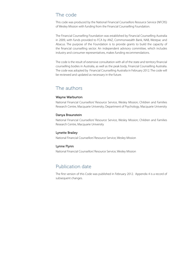# The code

This code was produced by the National Financial Counsellors Resource Service (NFCRS) of Wesley Mission with funding from the Financial Counselling Foundation.

The Financial Counselling Foundation was established by Financial Counselling Australia in 2009, with funds provided to FCA by ANZ, Commonwealth Bank, NAB, Westpac and Abacus. The purpose of the Foundation is to provide grants to build the capacity of the financial counselling sector. An independent advisory committee, which includes industry and consumer representatives, makes funding recommendations.

The code is the result of extensive consultation with all of the state and territory financial counselling bodies in Australia, as well as the peak body, Financial Counselling Australia. The code was adopted by Financial Counselling Australia in February 2012. The code will be reviewed and updated as necessary in the future.

# The authors

#### Wayne Warburton

National Financial Counsellors' Resource Service, Wesley Mission; Children and Families Research Centre, Macquarie University; Department of Psychology, Macquarie University

#### Danya Braunstein

National Financial Counsellors' Resource Service, Wesley Mission; Children and Families Research Centre, Macquarie University

#### Lynette Brailey

National Financial Counsellors' Resource Service, Wesley Mission

#### Lynne Flynn

National Financial Counsellors' Resource Service, Wesley Mission

# Publication date

The first version of this Code was published in February 2012. Appendix 4 is a record of subsequent changes.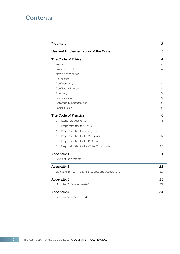# **Contents**

| Preamble                                               | 2<br>3 |
|--------------------------------------------------------|--------|
| Use and Implementation of the Code                     |        |
| <b>The Code of Ethics</b>                              | 4      |
| Respect                                                | 4      |
| Empowerment                                            | 4      |
| Non-discrimination                                     | 4<br>4 |
| <b>Boundaries</b>                                      |        |
| Confidentiality                                        | 5      |
| Conflicts of interest                                  | 5      |
| Advocacy                                               | 5      |
| Professionalism                                        | 5      |
| Community Engagement                                   | 5      |
| Social Justice                                         | 5      |
| <b>The Code of Practice</b>                            | 6      |
| $\mathbf{1}$ .<br>Responsibilities to Self             | 6      |
| 2.<br>Responsibilities to Clients                      | 8      |
| 3.<br>Responsibilities to Colleagues                   | 15     |
| 4.<br>Responsibilities to the Workplace                | 17     |
| 5.<br>Responsibilities to the Profession               | 18     |
| 6.<br>Responsibilities to the Wider Community          | 20     |
| <b>Appendix 1</b>                                      | 21     |
| Relevant Documents                                     | 21     |
| <b>Appendix 2</b>                                      | 22     |
| State and Territory Financial Counselling Associations | 22     |
| <b>Appendix 3</b>                                      | 23     |
| How the Code was created                               | 23     |
| <b>Appendix 4</b>                                      | 24     |
| Responsibility for the Code                            | 24     |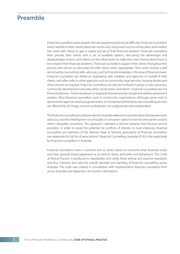# Preamble

Financial counsellors assist people who are experiencing financial difficulty. Financial counsellors listen carefully to their clients' particular stories and, using tools such as money plans and creditor lists, work with clients to gain a clearer picture of their financial situation. Financial counsellors then provide their clients with a set of available options, discussing the advantages and disadvantages of each, and clients use this information to make their own choices about how to best resolve their financial problems. Financial counsellors support their clients throughout this process and will act as advocates for their clients when appropriate. Their work involves a skill set including counselling skills, advocacy, and technical knowledge in the area of financial issues. Financial counsellors are skilled at negotiating with creditors and agencies on behalf of their clients, and often refer to other agencies such as community legal services, housing bodies and other services as required. Financial counsellors can also be involved in group or class advocacy, community development and education, social action and reform. Financial counsellors are not financial planners, - financial advisers or legal practitioners and are not general welfare assessment workers. Most financial counsellors work in community organisations, although some work in government agencies and local government. It is fundamental that financial counselling services are offered free of charge, and are confidential, non-judgmental, and independent.

The financial counselling model prevalent in Australia seeks to incorporate ideas of empowerment, advocacy and the development of principles of consumer rights for low-income earners and/or other vulnerable consumers. This approach maintains a discreet distance from finance service providers, in order to avoid the potential for conflicts of interest. In most instances, financial counsellors are members of the relevant State or Territory association of financial counsellors (see appendix for full list of associations). Financial Counselling Australia (FCA) is the peak body for financial counsellors in Australia.

Financial counsellors have a common aim to assist clients to overcome their financial issues and have general broad agreement as to ethical values, principles and behaviours. This Code of Ethical Practice is produced to standardise and clarify these ethical and practice standards, and thus maintain and raise the overall standard and standing of financial counselling across Australia. The Code was created in consultation with representative financial counsellors from across Australia (see Appendix 3 for further information).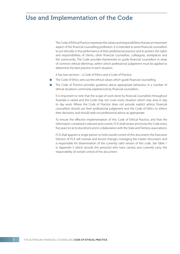# Use and Implementation of the Code

The Code of Ethical Practice expresses the values and responsibilities that are an important aspect of the financial counselling profession. It is intended to assist financial counsellors to act ethically in the performance of their professional practice and to protect the rights and responsibilities of clients, other financial counsellors, colleagues, workplaces and the community. The Code provides frameworks to quide financial counsellors in areas of common ethical dilemmas, within which professional judgement must be applied to determine the best practice in each situation.

It has two sections – a Code of Ethics and a Code of Practice.

- The Code of Ethics sets out the ethical values which guide financial counselling.
- The Code of Practice provides guidance about appropriate behaviour in a number of ethical situations commonly experienced by financial counsellors.

It is important to note that the scope of work done by financial counsellors throughout Australia is varied and this Code may not cover every situation which may arise in day to day work. Where the Code of Practice does not provide explicit advice, financial counsellors should use their professional judgement and the Code of Ethics to inform their decisions, and should seek out professional advice as appropriate.

To ensure the effective implementation of this Code of Ethical Practice, and that the information contained is relevant and current, FCA shall review and revise the Code every five years (or at its discretion) and in collaboration with the State and Territory associations.

FCA shall appoint a single person to hold overall control of this document; the Executive Director of FCA will oversee and record changes, managing the master document, and is responsible for dissemination of the currently valid version of this code. See Table 1 in Appendix 5 which records the person(s) who have carried, and currently carry, the responsibility of overall control of this document.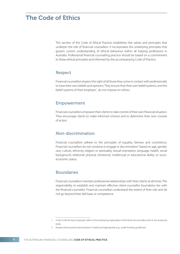# The Code of Ethics

This section of the Code of Ethical Practice establishes the values and principles that underpin the role of financial counsellors. It incorporates the underlying principles that govern current understanding of ethical behaviour within all helping professions in Australia. Professional financial counselling practice should be based on a commitment to these ethical principles and informed by the accompanying Code of Practice.

# Respect

Financial counsellors respect the right of all those they come in contact with professionally to have their own beliefs and opinions. They ensure that their own belief systems, and the belief systems of their employer<sup>1</sup>, do not impose on others.

# Empowerment

Financial counsellors empower their clients to take control of their own financial situation. They encourage clients to make informed choices and to determine their own courses of action.

# Non-discrimination

Financial counsellors adhere to the principles of equality, fairness and consistency. Financial counsellors do not condone or engage in discrimination<sup>2</sup> based on age, gender, race, culture, ethnicity, religion or spirituality, sexual orientation, language, health, social background, relational, physical, emotional, intellectual or educational ability, or socioeconomic status.

# Boundaries

Financial counsellors maintain professional relationships with their clients at all times. The responsibility to establish and maintain effective client-counsellor boundaries lies with the financial counsellor. Financial counsellors understand the extent of their role and do not go beyond their skill base or competence.

<sup>1</sup> In this Code the term 'employer' refers to the employing organisation of the financial counsellor and/ or the auspicing body.

<sup>2</sup> Except where positive discrimination is lawful and appropriate (e.g., under funding guidelines).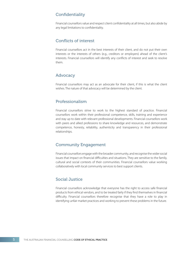# **Confidentiality**

Financial counsellors value and respect client confidentiality at all times, but also abide by any legal limitations to confidentiality.

## Conflicts of interest

Financial counsellors act in the best interests of their client, and do not put their own interests or the interests of others (e.g., creditors or employers) ahead of the client's interests. Financial counsellors will identify any conflicts of interest and seek to resolve them.

## Advocacy

Financial counsellors may act as an advocate for their client, if this is what the client wishes. The nature of that advocacy will be determined by the client.

# Professionalism

Financial counsellors strive to work to the highest standard of practice. Financial counsellors work within their professional competence, skills, training and experience and stay up to date with relevant professional developments. Financial counsellors work with peers and allied professions to share knowledge and resources, and demonstrate competence, honesty, reliability, authenticity and transparency in their professional relationships.

# Community Engagement

Financial counsellors engage with the broader community, and recognise the wider social issues that impact on financial difficulties and situations. They are sensitive to the family, cultural and social contexts of their communities. Financial counsellors value working collaboratively with local community services to best support clients.

# Social Justice

Financial counsellors acknowledge that everyone has the right to access safe financial products from ethical vendors, and to be treated fairly if they find themselves in financial difficulty. Financial counsellors therefore recognise that they have a role to play in identifying unfair market practices and working to prevent these problems in the future.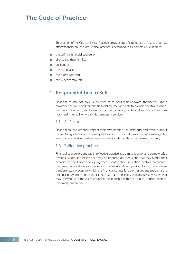# The Code of Practice

This section of the Code of Ethical Practice provides specific guidance on issues that may affect financial counsellors. Ethical practice is described in six domains in relation to:

- $\blacksquare$  the self (the financial counsellor)
- clients and their families
- $\Box$  colleagues
- $\blacksquare$  the workplace
- the profession, and
- the wider community.

# 1. Responsibilities to Self

Financial counsellors have a number of responsibilities toward themselves. These maximise the likelihood that the financial counsellor is able to provide effective financial counselling to clients, and to ensure that their physical, mental and emotional state does not impair their ability to provide competent services.

#### 1.1 Self-care

Financial counsellors shall respect their own needs as an individual and avoid burnout by practising self care and a healthy life balance. This includes maintaining a manageable workload and seeking assistance early when job demands cause distress or anxiety.

#### 1.2 Reflective practice

Financial counsellors engage in reflective practice and aim to identify and acknowledge personal values and beliefs that may be imposed on clients and that may hinder their capacity for good professional judgement. Conscientious reflection involves the financial counsellor in monitoring and reviewing their work and being vigilant for signs of countertransference, a process by which the financial counsellor's own issues and problems are unconsciously imposed on the client. Financial counsellors shall discuss any issues that may interfere with the client-counsellor relationship with their clinical and/or technical (casework) supervisor.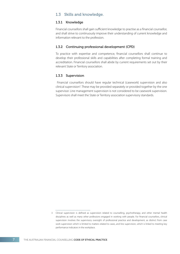#### 1.3 Skills and knowledge.

#### 1.3.1 Knowledge

Financial counsellors shall gain sufficient knowledge to practise as a financial counsellor, and shall strive to continuously improve their understanding of current knowledge and information relevant to the profession.

#### 1.3.2 Continuing professional development (CPD)

To practice with expertise and competence, financial counsellors shall continue to develop their professional skills and capabilities after completing formal training and accreditation. Financial counsellors shall abide by current requirements set out by their relevant State or Territory association.

#### 1.3.3 Supervision

 Financial counsellors should have regular technical (casework) supervision and also clinical supervision<sup>3</sup>. These may be provided separately or provided together by the one supervisor. Line management supervision is not considered to be casework supervision. Supervisors shall meet the State or Territory association supervisory standards.

<sup>3</sup> Clinical supervision is defined as supervision related to counselling, psychotherapy, and other mental health disciplines as well as many other professions engaged in working with people. For financial counsellors, clinical supervision involves the supervisory oversight of professional practice and development, as distinct from case work supervision which is limited to matters related to cases, and line supervision, which is linked to meeting key performance indicators in the workplace.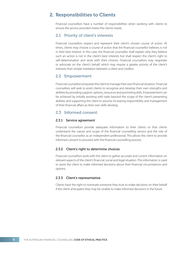# 2. Responsibilities to Clients

Financial counsellors have a number of responsibilities when working with clients to ensure the service provided meets the clients' needs.

#### 2.1 Priority of client's interests

Financial counsellors respect and represent their client's chosen course of action. At times, clients may choose a course of action that the financial counsellor believes is not in their best interest. In this case, the financial counsellor shall explain why they believe such an action is not in the client's best interests but shall respect the client's right to self-determination and work with their choices. Financial counsellors may negotiate or advocate on the client's behalf, which may require a greater priority of the client's interests than simple mediation between a client and creditor.

#### 2.2 Empowerment

Financial counsellors empower the client to manage their own financial situation. Financial counsellors will seek to assist clients to recognise and develop their own strengths and abilities by providing support, options, resources and promoting skills. Empowerment can be achieved by initially assisting with tasks beyond the scope of the client's presenting abilities and supporting the client to assume increasing responsibility and management of their financial affairs as their own skills develop.

#### 2.3 Informed consent.

#### 2.3.1 Service agreement

Financial counsellors provide adequate information to their clients so that clients understand the nature and scope of the financial counselling service and the role of the financial counsellor as an independent professional. This allows the client to provide informed consent to proceed with the financial counselling process.

#### 2.3.2 Client's right to determine choices

Financial counsellors work with the client to gather accurate and current information on relevant aspects of the client's financial, social and legal situation. This information is used to assist the client to make informed decisions about their financial circumstances and options.

#### 2.3.3 Client's representative

Clients have the right to nominate someone they trust to make decisions on their behalf if the client anticipates they may be unable to make informed decisions in the future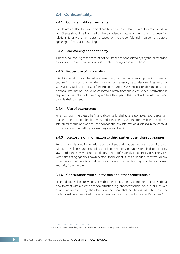## 2.4 Confidentiality.

#### 2.4.1 Confidentiality agreements

Clients are entitled to have their affairs treated in confidence, except as mandated by law. Clients should be informed of the confidential nature of the financial counselling relationship, as well as any potential exceptions to the confidentiality agreement, before agreeing to financial counselling.

#### 2.4.2 Maintaining confidentiality

 Financial counselling sessions must not be listened to or observed by anyone, or recorded by visual or audio technology, unless the client has given informed consent.

#### 2.4.3 Proper use of information

Client information is collected and used only for the purposes of providing financial counselling services and for the provision of necessary secondary services (e.g., for supervision, quality control and funding body purposes). Where reasonable and possible, personal information should be collected directly from the client. When information is required to be collected from or given to a third party, the client will be informed and provide their consent.

#### 2.4.4 Use of interpreters

When using an interpreter, the financial counsellor shall take reasonable steps to ascertain that the client is comfortable with, and consents to, the interpreter being used. The interpreter should be asked to keep confidential any information disclosed in the context of the financial counselling process they are involved in.

#### 2.4.5 Disclosure of information to third parties other than colleagues

Personal and detailed information about a client shall not be disclosed to a third party without the client's understanding and informed consent, unless required to do so by law. Third parties may include creditors, other professionals or agencies, other services within the acting agency, known persons to the client (such as friends or relatives), or any other person. Before a financial counsellor contacts a creditor they shall have a signed authority from the client.

#### 2.4.6 Consultation with supervisors and other professionals

Financial counsellors may consult with other professionally competent persons about how to assist with a client's financial situation (e.g. another financial counsellor, a lawyer, or an employee of ITSA). The identity of the client shall not be disclosed to the other professional unless required by law, professional practice or with the client's consent<sup>4</sup>.

4 For information regarding referrals see clause C.2. Referrals (Responsibilities to Colleagues).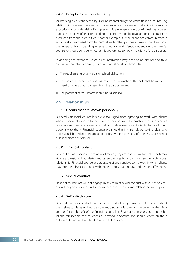#### 2.4.7 Exceptions to confidentiality

Maintaining client confidentiality is a fundamental obligation of the financial counselling relationship. However, there are circumstances where the law or ethical obligations impose exceptions to confidentiality. Examples of this are when a court or tribunal has ordered during the process of legal proceedings that information be divulged or a document be produced from the client's files. Another example is if the client has communicated a serious risk of imminent harm to themselves, to other persons known to the client, or to the general public. In deciding whether or not to break client confidentiality, the financial counsellor should consider whether it is appropriate to notify the client of the disclosure.

In deciding the extent to which client information may need to be disclosed to third parties without client consent, financial counsellors should consider:

- i. The requirements of any legal or ethical obligation,
- ii. The potential benefits of disclosure of the information, The potential harm to the client or others that may result from the disclosure, and
- iii. The potential harm if information is not disclosed.

#### 2.5 Relationships.

#### 2.5.1 Clients that are known personally

Generally financial counsellors are discouraged from agreeing to work with clients who are personally known to them. Where there is limited alternative access to services (for example in remote areas), financial counsellors may accept clients that are known personally to them. Financial counsellors should minimise risk by setting clear and professional boundaries, negotiating to resolve any conflicts of interest, and seeking guidance from a supervisor.

#### 2.5.2 Physical contact

Financial counsellors shall be mindful of making physical contact with clients which may violate professional boundaries and cause damage to or compromise the professional relationship. Financial counsellors are aware of and sensitive to the ways in which clients may interpret physical contact, with reference to social, cultural and gender differences.

#### 2.5.3 Sexual conduct

Financial counsellors will not engage in any form of sexual conduct with current clients, nor will they accept clients with whom there has been a sexual relationship in the past.

#### 2.5.4 Self - disclosure

Financial counsellors shall be cautious of disclosing personal information about themselves to clients and must ensure any disclosure is solely for the benefit of the client and not for the benefit of the financial counsellor. Financial counsellors are responsible for the foreseeable consequences of personal disclosure and should reflect on these outcomes before making the decision to self- disclose.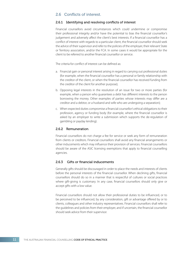## 2.6 Conflicts of interest.

#### 2.6.1 Identifying and resolving conflicts of interest

Financial counsellors avoid circumstances which could undermine or compromise their professional integrity and/or have the potential to bias the financial counsellor's judgement and adversely affect the client's best interests. If a financial counsellor has a conflict of interest with regards to a particular client, the financial counsellor should seek the advice of their supervisor and refer to the policies of the employer, their relevant State or Territory association, and/or the FCA. In some cases it would be appropriate for the client to be referred to another financial counsellor or service.

The criteria for conflict of interest can be defined as:

- a. Financial gain or personal interest arising in regard to carrying out professional duties (for example, when the financial counsellor has a personal or family relationship with the creditor of the client, or when the financial counsellor has received funding from the creditor of the client for another purpose);
- b. Opposing legal interests in the resolution of an issue for two or more parties (for example, when a person who quarantees a debt has different interests to the person borrowing the money. Other examples of parties whose interests may differ are a creditor and a debtor, or a husband and wife who are undergoing a separation);
- c. When expected duties compromise a financial counsellor's ethical obligations to their profession, agency or funding body (for example, where the financial counsellor is asked by an employer to write a submission which supports the de-regulation of gambling or payday lending).

#### 2.6.2 Remuneration

Financial counsellors do not charge a fee for service or seek any form of remuneration from clients or creditors. Financial counsellors shall avoid any financial arrangements or other inducements which may influence their provision of services. Financial counsellors should be aware of the ASIC licensing exemptions that apply to financial counselling agencies.

#### 2.6.3 Gifts or financial inducements

Generally gifts should be discouraged in order to place the needs and interests of clients before the personal interests of the financial counsellor. When declining gifts, financial counsellors should do so in a manner that is respectful of cultures or social practices where gift-giving is customary. In any case, financial counsellors should only give or accept gifts with a low value.

Financial counsellors should not allow their professional duties to be influenced, or to be perceived to be influenced, by any consideration, gift or advantage offered by or to clients, colleagues and other industry representatives. Financial counsellors shall refer to the quidelines and policies from their employer, and if uncertain, the financial counsellor should seek advice from their supervisor.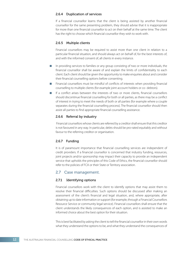#### 2.6.4 Duplication of services

If a financial counsellor learns that the client is being assisted by another financial counsellor for the same presenting problem, they should advise that it is inappropriate for more than one financial counsellor to act on their behalf at the same time. The client has the right to choose which financial counsellor they wish to work with.

#### 2.6.5 Multiple clients

Financial counsellors may be required to assist more than one client in relation to a particular financial situation, and should always act on behalf of, for the best interests of, and with the informed consent of, all clients in every instance.

- In providing services to families or any group consisting of two or more individuals, the financial counsellor shall be aware of and explain the limits of confidentiality to each client. Each client should be given the opportunity to make enquiries about and consider their financial counselling options before consenting.
- Financial counsellors must be mindful of conflicts of interests when providing financial counselling to multiple clients (for example joint account holders or co- debtors).
- If a conflict arises between the interests of two or more clients, financial counsellors should discontinue financial counselling for both or all parties, as there may be a conflict of interest in trying to meet the needs of both or all parties (for example where a couple separates during the financial counselling process). The financial counsellor should then assist all parties to find appropriate financial counselling assistance.

#### 2.6.6 Referral by industry

 Financial counsellors whose clients are referred by a creditor shall ensure that this creditor is not favoured in any way. In particular, debts should be pro-rated equitably and without favour to the referring creditor or organisation.

#### 2.6.7 Funding

It is of paramount importance that financial counselling services are independent of credit providers. If a financial counsellor is concerned that industry funding, resources, joint projects and/or sponsorship may impact their capacity to provide an independent service that upholds the principles of this Code of Ethics, the financial counsellor should refer to the policies of FCA or their State or Territory association.

#### 2.7 Case management.

#### 2.7.1 Identifying options

Financial counsellors work with the client to identify options that may assist them to resolve their financial difficulties. Such options should be discussed after making an assessment of the client's financial and legal situation, and, where appropriate, after obtaining up to date information or support (for example, through a Financial Counsellors Resource Service or community legal service). Financial counsellors shall ensure that the client understands the likely consequences of each option, and is assisted to make an informed choice about the best option for their situation.

This is best facilitated by asking the client to tell the financial counsellor in their own words what they understand the options to be, and what they understand the consequences of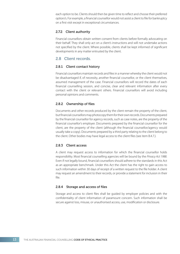each option to be. Clients should then be given time to reflect and choose their preferred option/s. For example, a financial counsellor would not assist a client to file for bankruptcy on a first visit except in exceptional circumstances.

#### 2.7.2 Client authority

Financial counsellors obtain written consent from clients before formally advocating on their behalf. They shall only act on a client's instructions and will not undertake actions not specified by the client. Where possible, clients shall be kept informed of significant developments in any matter entrusted by the client.

## 2.8 Client records.

#### 2.8.1 Client contact history

Financial counsellors maintain records and files in a manner whereby the client would not be disadvantaged if, of necessity, another financial counsellor, or the client themselves, assumed management of the case. Financial counsellors will record the dates of each financial counselling session, and concise, clear and relevant information after every contact with the client or relevant others. Financial counsellors will avoid including personal opinions and comments.

#### 2.8.2 Ownership of files

Documents and other records produced by the client remain the property of the client, but !nancial counsellors may photocopy them for their own records. Documents prepared by the financial counsellor for agency records, such as case notes, are the property of the financial counsellor's employer. Documents prepared by the financial counsellor for the client, are the property of the client (although the financial counsellor/agency would usually take a copy). Documents prepared by a third party relating to the client belong to the client. Other bodies may have legal access to the client files (see item B.4.7.).

#### 2.8.3 Client access

A client may request access to information for which the financial counsellor holds responsibility. Most financial counselling agencies will be bound by the Privacy Act 1988. Even if not legally bound, financial counsellors should adhere to the standards in this Act as an appropriate benchmark. Under this Act the client has the right to gain access to such information within 30 days of receipt of a written request to the file holder. A client may request an amendment to their records, or provide a statement for inclusion in their file.

#### 2.8.4 Storage and access of files

Storage and access to client files shall be guided by employer policies and with the confidentiality of client information of paramount concern. Such information shall be secure against loss, misuse, or unauthorised access, use, modification or disclosure.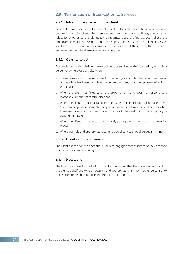## 2.9 Termination or Interruption to Services.

#### 2.9.1 Informing and assisting the client

Financial counsellors make all reasonable efforts to facilitate the continuation of financial counselling for the client when services are interrupted due to illness, annual leave, relocation or other reasons relating to the circumstances of the financial counsellor or the employer. Financial counsellors should, where possible, discuss with the client any issues involved with termination or interruption to services, assist the client with the process, and refer the client to alternative services if required.

#### 2.9.2 Ceasing to act

A financial counsellor shall terminate or interrupt services at their discretion, with client agreement wherever possible, when:

- a. The services are no longer necessary for the client (for example when all work requested by the client has been completed, or when the client is no longer benefitting from the service);
- b. When the client has failed to attend appointments and does not respond to a reasonable amount of communications;
- c. When the client is not in a capacity to engage in financial counselling at the time (for example, physical or mental incapacitation due to intoxication or illness, or when there are more significant and urgent matters to be dealt with of a temporary or continuing nature);
- d. When the client is unable to constructively participate in the financial counselling process.
- e. Where possible and appropriate, a termination of service should be put in writing.

#### 2.9.3 Client right to terminate

The client has the right to discontinue services, engage another service or seek a second opinion at their own choosing.

#### 2.9.4 Notification

The financial counsellor shall inform the client in writing that they have ceased to act on the client's behalf, and where necessary and appropriate, shall inform other persons and/ or creditors, preferably after gaining the client's consent.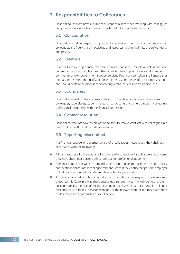# 3. Responsibilities to Colleagues

Financial counsellors have a number of responsibilities when working with colleagues and professional associates to work towards mutual and professional aims.

#### 3.1 Collaboration

Financial counsellors respect, support and encourage other financial counsellors and colleagues, and freely share knowledge and resources, within the limits of confidentiality and privacy.

#### 3.2 Referrals

In order to make appropriate referrals, financial counsellors maintain professional and current contacts with colleagues, other agencies, health practitioners and therapeutic, community and/or government support services. Financial counsellors shall ensure that referrals are relevant and justifiable for the interests and needs of the client's situation, and should explain the process of contacting referral services where appropriate.

# 3.3 Boundaries

Financial counsellors have a responsibility to maintain appropriate boundaries with colleagues, supervisees, students, research participants and others directly involved in a professional relationship with the financial counsellor.

#### 3.4 Conflict resolution

Financial counsellors have an obligation to seek to resolve conflicts with colleagues in a direct but respectful and considerate manner.

#### 3.5 Reporting misconduct

If a financial counsellor becomes aware of a colleague's misconduct, they shall act in accordance with the following:

- A financial counsellor is encouraged to bring to the attention of a colleague any concerns they have about that person's ethical conduct or professional judgement;
- A financial counsellor will recommend, where appropriate, to those directly affected by another financial counsellor's alleged misconduct, that they notify that person's employer or that financial counsellor's relevant State or Territory association;
- A financial counsellor, who, after reflection, considers a colleague to have seriously breached this Code in a way that constitutes a serious risk to the well-being of a client, colleague, or any member of the public, should discuss that financial counsellor's alleged misconduct with their supervisor, manager, or the relevant State or Territory association to determine the appropriate course of action;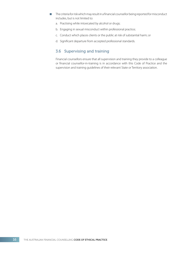- The criteria for risk which may result in a financial counsellor being reported for misconduct includes, but is not limited to:
	- a. Practising while intoxicated by alcohol or drugs;
	- b. Engaging in sexual misconduct within professional practice;
	- c. Conduct which places clients or the public at risk of substantial harm; or
	- d. Significant departure from accepted professional standards.

# 3.6 Supervising and training

Financial counsellors ensure that all supervision and training they provide to a colleague or financial counsellor-in-training is in accordance with this Code of Practice and the supervision and training guidelines of their relevant State or Territory association.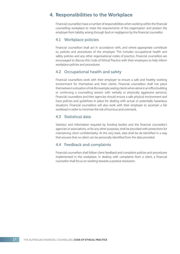# 4. Responsibilities to the Workplace

Financial counsellors have a number of responsibilities when working within the financial counselling workplace to meet the requirements of the organisation and protect the employer from liability arising through fault or negligence by the financial counsellor.

## 4.1 Workplace policies

Financial counsellors shall act in accordance with, and where appropriate contribute to, policies and procedures of the employer. This includes occupational health and safety policies and any other organisational codes of practice. Financial counsellors are encouraged to discuss this Code of Ethical Practice with their employers to help inform workplace policies and procedures.

## 4.2 Occupational health and safety

Financial counsellors work with their employer to ensure a safe and healthy working environment for themselves and their clients. Financial counsellors shall not place themselves in a situation of risk (for example, seeing clients when alone in an office building or continuing a counselling session with verbally or physically aggressive persons). Financial counsellors and their agencies should ensure a safe physical environment and have policies and guidelines in place for dealing with actual or potentially hazardous situations. Financial counsellors will also work with their employer to ascertain a fair workload in order to minimise the risk of burnout and overwork.

## 4.3 Statistical data

Statistics and information required by funding bodies and the financial counsellor's agencies or associations, or for any other purposes, shall be provided with protections for maintaining client confidentiality. At the very least, data shall be de-identified in a way that ensures that no client can be personally identified from the data provided.

#### 4.4 Feedback and complaints

Financial counsellors shall follow client feedback and complaint policies and procedures implemented in the workplace. In dealing with complaints from a client, a financial counsellor shall focus on working towards a positive resolution.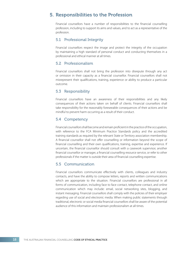# 5. Responsibilities to the Profession

Financial counsellors have a number of responsibilities to the financial counselling profession, including to support its aims and values, and to act as a representative of the profession.

## 5.1 Professional Integrity

Financial counsellors respect the image and protect the integrity of the occupation by maintaining a high standard of personal conduct and conducting themselves in a professional and ethical manner at all times.

#### 5.2 Professionalism

Financial counsellors shall not bring the profession into disrepute through any act or omission in their capacity as a financial counsellor. Financial counsellors shall not misrepresent their qualifications, training, experience or ability to produce a particular outcome.

#### 5.3 Responsibility

Financial counsellors have an awareness of their responsibilities and any likely consequences of their actions taken on behalf of clients. Financial counsellors shall take responsibility for the reasonably foreseeable consequences of their actions and be mindful to prevent harm occurring as a result of their conduct.

#### 5.4 Competency

Financial counsellors shall become and remain proficient in the practice of the occupation, with reference to the FCA Minimum Practice Standards policy and the accredited training standards as required by the relevant State or Territory association membership. A financial counsellor shall not offer counselling or information beyond the scope of financial counselling and their own qualifications, training, expertise and experience. If uncertain, the financial counsellor should consult with a casework supervisor, another financial counsellor or manager, a financial counselling resource service, or refer to other professionals if the matter is outside their area of financial counselling expertise.

## 5.5 Communication

Financial counsellors communicate effectively with clients, colleagues and industry contacts, and have the ability to compose letters, reports and written communications which are appropriate to the situation. Financial counsellors are professional in all forms of communication, including face to face contact, telephone contact, and online communication which may include: email, social networking sites, blogging, and instant messaging. Financial counsellors shall comply with the policies of their employer regarding use of social and electronic media. When making public statements through traditional, electronic or social media financial counsellors shall be aware of the potential audience of this information and maintain professionalism at all times.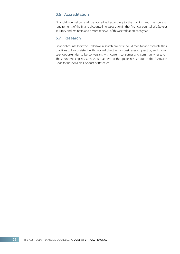# 5.6 Accreditation

Financial counsellors shall be accredited according to the training and membership requirements of the financial counselling association in that financial counsellor's State or Territory and maintain and ensure renewal of this accreditation each year.

# 5.7 Research

Financial counsellors who undertake research projects should monitor and evaluate their practices to be consistent with national directives for best research practice, and should seek opportunities to be conversant with current consumer and community research. Those undertaking research should adhere to the guidelines set out in the Australian Code for Responsible Conduct of Research.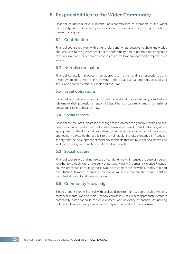# 6. Responsibilities to the Wider Community

Financial counsellors have a number of responsibilities as members of the wider community, and to share with professionals in the general aim of working towards the greater social good.

#### 6.1 Contribution

Financial counsellors work with other professions, where possible, to share knowledge and resources to the greater benefit of the community, and to promote the integration of services in a way that enables greater client access to appropriate and comprehensive services.

### 6.2 Non-discrimination

Financial counsellors practice in an appropriate manner and are respectful of, and responsive to, the specific needs relevant to the social, cultural, linguistic, spiritual, and sexual and gender diversity of clients and consumers.

#### 6.3 Legal obligations

 Financial counsellors comply with current Federal and State or Territory laws that are relevant to their professional responsibilities. Financial counsellors must not assist or encourage clients to break the law.

#### 6.4 Social factors

Financial counsellors support social change that promotes the general welfare and selfdetermination of families and individuals. Financial counsellors shall advocate, where appropriate, for the right of all Australians to be treated fairly by industry, for economic and legislative systems that are fair to the vulnerable and disadvantaged in Australian society, and the development of social environments that optimise financial health and wellbeing among communities, families and individuals.

## 6.5 Social welfare

Financial counsellors shall not excuse or condone known instances of abuse or neglect, whether towards children, the elderly, or persons living with domestic violence. Financial counsellors should encourage those involved to contact the relevant authority to report the situation, however a financial counsellor must also honour the client's right to confidentiality and to self-determination.

#### 6.6 Community knowledge

 Financial counsellors will consult with, seek guidance from, and support, local community members, mentors and advisors. Financial counsellors shall, where appropriate, promote community participation in the development, and advocacy of financial counselling policies and services, and provide community education about financial issues.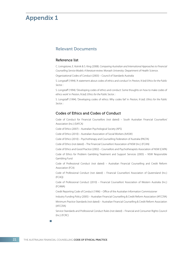# Relevant Documents

#### Reference list

C. Livingstone, E. Kotnik & S. King (2008). Comparing Australian and International Approaches to Financial Counselling Service Models: A literature review. Monash University: Department of Health Science.

Organizational Codes of Conduct (2003) – Council of Standards Australia

S. Longstaff (1994). 'A statement about codes of ethics and conduct' in Preston, N (ed) Ethics for the Public Sector. :

S. Longstaff (1994). 'Developing codes of ethics and conduct: Some thoughts on how to make codes of ethics work' in Preston, N (ed). Ethics for the Public Sector. :

S. Longstaff (1994). 'Developing codes of ethics: Why codes fail' in Preston, N (ed). Ethics for the Public Sector. :

#### Codes of Ethics and Codes of Conduct

Code of Conduct for Financial Counsellors (not dated) – South Australian Financial Counsellors' Association (Inc.) (SAFCA)

Code of Ethics (2007) – Australian Psychological Society (APS)

Code of Ethics (2010) – Australian Association of Social Workers (AASW)

Code of Ethics (2010) – Psychotherapy and Counselling Federation of Australia (PACFA)

Code of Ethics (not dated) – The Financial Counsellors' Association of NSW (Inc.) (FCAN)

Code of Ethics and Good Practice (2002) – Counsellors and Psychotherapists Association of NSW (CAPA)

Code of Ethics for Problem Gambling Treatment and Support Services (2005) – NSW Responsible Gambling Fund

Code of Professional Conduct (not dated) – Australian Financial Counselling and Credit Reform Association (FCA)

Code of Professional Conduct (not dated) – Financial Counsellors' Association of Queensland (Inc.) (FCAQ)

Code of Professional Conduct (2010) – Financial Counsellors' Association of Western Australia (Inc.) (FCAWA)

Credit Reporting Code of Conduct (1996) – Office of the Australian Information Commissioner

Industry Funding Policy (2005) – Australian Financial Counselling & Credit Reform Association (AFCCRA)

Minimum Practice Standards (not dated) – Australian Financial Counselling & Credit Reform Association (AFCCRA)

Service Standards and Professional Conduct Rules (not dated) – Financial and Consumer Rights Council (Inc.) (FCRC)

Q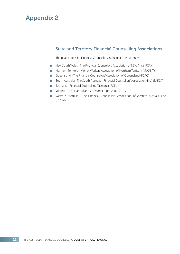# State and Territory Financial Counselling Associations

The peak bodies for Financial Counsellors in Australia are currently:

- New South Wales The Financial Counsellors' Association of NSW (Inc.) (FCAN)
- **Northern Territory Money Workers Association of Northern Territory (MWANT)**
- Queensland The Financial Counsellors' Association of Queensland (FCAQ)
- **D** South Australia The South Australian Financial Counsellors' Association (Inc.) (SAFCA)
- **Tasmania Financial Counselling Tasmania (FCT).**
- Victoria The Financial and Consumer Rights Council (FCRC)
- Western Australia The Financial Counsellors' Association of Western Australia (Inc.) (FCAWA)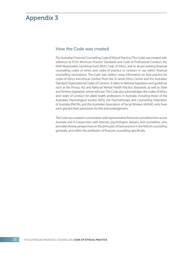# How the Code was created

The Australian Financial Counselling Code of Ethical Practice (The Code) was created with reference to FCA's Minimum Practice Standards and Code of Professional Conduct, the NSW Responsible Gambling Fund (RGF) Code of Ethics, and to all pre-existing financial counselling codes of ethics and codes of practice or conduct in use within financial counselling associations. The Code was written using information on best practice for codes of ethics and ethical conduct from the St James Ethics Centre and the Australian Standard Organizational Codes of Conduct. It refers to National legislation and guidelines such as the Privacy Act and National Mental Health Practice Standards, as well as State and Territory legislation where relevant. This Code also acknowledges the codes of ethics and codes of conduct for allied health professions in Australia, including those of the Australian Psychological Society (APS), the Psychotherapy and Counselling Federation of Australia (PACFA), and the Australian Association of Social Workers (AASW), who have each granted their permission for this acknowledgement.

The Code was created in consultation with representative financial counsellors from across Australia and in conjunction with ethicists, psychologists, lawyers, and counsellors, who provided diverse perspectives on the principles of best practice in the field of counselling generally, and within the profession of financial counselling specifically.